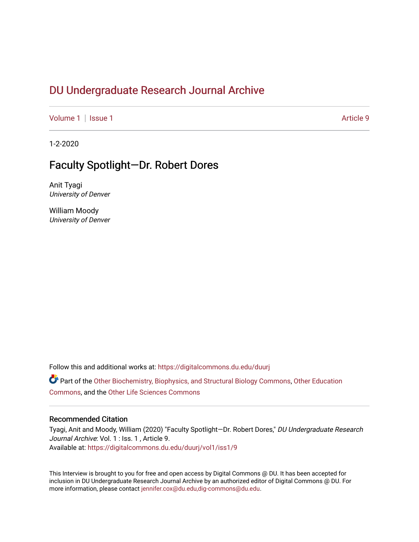# DU Undergr[aduate Research Journal Ar](https://digitalcommons.du.edu/duurj)chive

[Volume 1](https://digitalcommons.du.edu/duurj/vol1) | [Issue 1](https://digitalcommons.du.edu/duurj/vol1/iss1) Article 9

1-2-2020

# Faculty Spotlight—Dr. Robert Dores

Anit Tyagi University of Denver

William Moody University of Denver

Follow this and additional works at: [https://digitalcommons.du.edu/duurj](https://digitalcommons.du.edu/duurj?utm_source=digitalcommons.du.edu%2Fduurj%2Fvol1%2Fiss1%2F9&utm_medium=PDF&utm_campaign=PDFCoverPages) 

Part of the [Other Biochemistry, Biophysics, and Structural Biology Commons,](http://network.bepress.com/hgg/discipline/7?utm_source=digitalcommons.du.edu%2Fduurj%2Fvol1%2Fiss1%2F9&utm_medium=PDF&utm_campaign=PDFCoverPages) [Other Education](http://network.bepress.com/hgg/discipline/811?utm_source=digitalcommons.du.edu%2Fduurj%2Fvol1%2Fiss1%2F9&utm_medium=PDF&utm_campaign=PDFCoverPages) [Commons](http://network.bepress.com/hgg/discipline/811?utm_source=digitalcommons.du.edu%2Fduurj%2Fvol1%2Fiss1%2F9&utm_medium=PDF&utm_campaign=PDFCoverPages), and the [Other Life Sciences Commons](http://network.bepress.com/hgg/discipline/113?utm_source=digitalcommons.du.edu%2Fduurj%2Fvol1%2Fiss1%2F9&utm_medium=PDF&utm_campaign=PDFCoverPages) 

#### Recommended Citation

Tyagi, Anit and Moody, William (2020) "Faculty Spotlight—Dr. Robert Dores," DU Undergraduate Research Journal Archive: Vol. 1 : Iss. 1, Article 9. Available at: [https://digitalcommons.du.edu/duurj/vol1/iss1/9](https://digitalcommons.du.edu/duurj/vol1/iss1/9?utm_source=digitalcommons.du.edu%2Fduurj%2Fvol1%2Fiss1%2F9&utm_medium=PDF&utm_campaign=PDFCoverPages) 

This Interview is brought to you for free and open access by Digital Commons @ DU. It has been accepted for inclusion in DU Undergraduate Research Journal Archive by an authorized editor of Digital Commons @ DU. For more information, please contact [jennifer.cox@du.edu,dig-commons@du.edu.](mailto:jennifer.cox@du.edu,dig-commons@du.edu)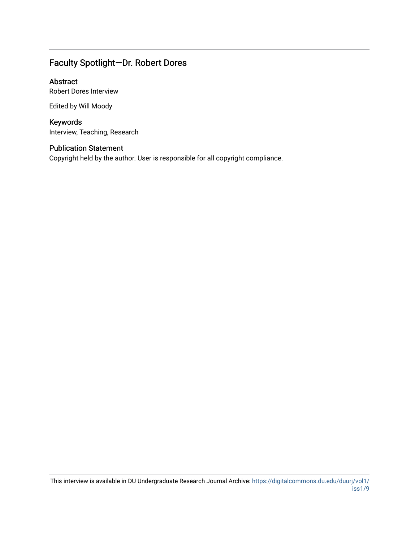# Faculty Spotlight—Dr. Robert Dores

### Abstract

Robert Dores Interview

Edited by Will Moody

## Keywords

Interview, Teaching, Research

## Publication Statement

Copyright held by the author. User is responsible for all copyright compliance.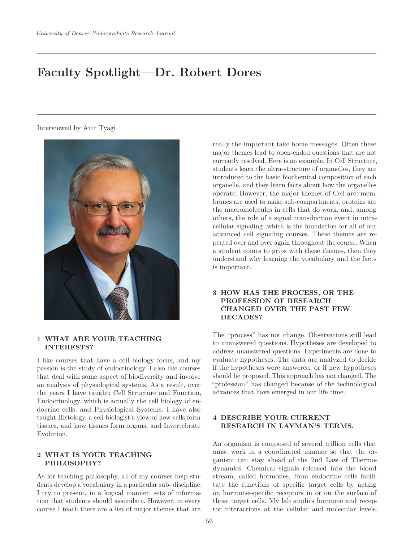# **Faculty Spotlight—Dr. Robert Dores**

Interviewed by Anit Tyagi



#### **1 WHAT ARE YOUR TEACHING INTERESTS?**

I like courses that have a cell biology focus, and my passion is the study of endocrinology. I also like courses that deal with some aspect of biodiversity and involve an analysis of physiological systems. As a result, over the years I have taught: Cell Structure and Function, Endocrinology, which is actually the cell biology of endocrine cells, and Physiological Systems. I have also taught Histology, a cell biologist's view of how cells form tissues, and how tissues form organs, and Invertebrate Evolution.

#### **2 WHAT IS YOUR TEACHING PHILOSOPHY?**

As for teaching philosophy, all of my courses help students develop a vocabulary in a particular sub- discipline. I try to present, in a logical manner, sets of information that students should assimilate. However, in every course I teach there are a list of major themes that are

really the important take home messages. Often these major themes lead to open-ended questions that are not currently resolved. Here is an example. In Cell Structure, students learn the ultra-structure of organelles, they are introduced to the basic biochemical composition of each organelle, and they learn facts about how the organelles operate. However, the major themes of Cell are: membranes are used to make sub-compartments, proteins are the macromolecules in cells that do work, and, among others, the role of a signal transduction event in intracellular signaling ,which is the foundation for all of our advanced cell signaling courses. These themes are repeated over and over again throughout the course. When a student comes to grips with these themes, then they understand why learning the vocabulary and the facts is important.

#### **3 HOW HAS THE PROCESS, OR THE PROFESSION OF RESEARCH CHANGED OVER THE PAST FEW DECADES?**

The "process" has not change. Observations still lead to unanswered questions. Hypotheses are developed to address unanswered questions. Experiments are done to evaluate hypotheses. The data are analyzed to decide if the hypotheses were answered, or if new hypotheses should be proposed. This approach has not changed. The "profession" has changed because of the technological advances that have emerged in our life time.

#### **4 DESCRIBE YOUR CURRENT RESEARCH IN LAYMAN'S TERMS.**

An organism is composed of several trillion cells that must work in a coordinated manner so that the organism can stay ahead of the 2nd Law of Thermodynamics. Chemical signals released into the blood stream, called hormones, from endocrine cells facilitate the functions of specific target cells by acting on hormone-specific receptors in or on the surface of those target cells. My lab studies hormone and receptor interactions at the cellular and molecular levels.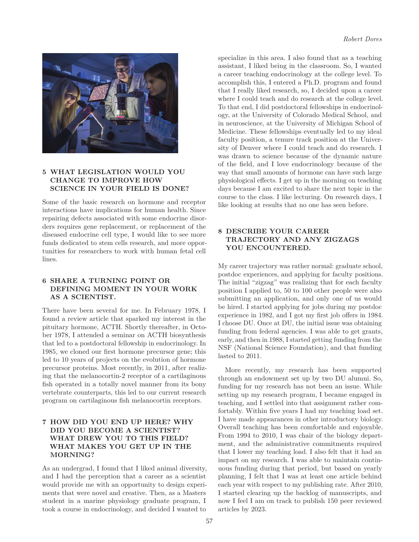

#### **5 WHAT LEGISLATION WOULD YOU CHANGE TO IMPROVE HOW SCIENCE IN YOUR FIELD IS DONE?**

Some of the basic research on hormone and receptor interactions have implications for human health. Since repairing defects associated with some endocrine disorders requires gene replacement, or replacement of the diseased endocrine cell type, I would like to see more funds dedicated to stem cells research, and more opportunities for researchers to work with human fetal cell lines.

#### **6 SHARE A TURNING POINT OR DEFINING MOMENT IN YOUR WORK AS A SCIENTIST.**

There have been several for me. In February 1978, I found a review article that sparked my interest in the pituitary hormone, ACTH. Shortly thereafter, in October 1978, I attended a seminar on ACTH biosynthesis that led to a postdoctoral fellowship in endocrinology. In 1985, we cloned our first hormone precursor gene; this led to 10 years of projects on the evolution of hormone precursor proteins. Most recently, in 2011, after realizing that the melanocortin-2 receptor of a cartilaginous fish operated in a totally novel manner from its bony vertebrate counterparts, this led to our current research program on cartilaginous fish melanocortin receptors.

#### **7 HOW DID YOU END UP HERE? WHY DID YOU BECOME A SCIENTIST? WHAT DREW YOU TO THIS FIELD? WHAT MAKES YOU GET UP IN THE MORNING?**

As an undergrad, I found that I liked animal diversity, and I had the perception that a career as a scientist would provide me with an opportunity to design experiments that were novel and creative. Then, as a Masters student in a marine physiology graduate program, I took a course in endocrinology, and decided I wanted to specialize in this area. I also found that as a teaching assistant, I liked being in the classroom. So, I wanted a career teaching endocrinology at the college level. To accomplish this, I entered a Ph.D. program and found that I really liked research, so, I decided upon a career where I could teach and do research at the college level. To that end, I did postdoctoral fellowships in endocrinology, at the University of Colorado Medical School, and in neuroscience, at the University of Michigan School of Medicine. These fellowships eventually led to my ideal faculty position, a tenure track position at the University of Denver where I could teach and do research. I was drawn to science because of the dynamic nature of the field, and I love endocrinology because of the way that small amounts of hormone can have such large physiological effects. I get up in the morning on teaching days because I am excited to share the next topic in the course to the class. I like lecturing. On research days, I like looking at results that no one has seen before.

#### **8 DESCRIBE YOUR CAREER TRAJECTORY AND ANY ZIGZAGS YOU ENCOUNTERED.**

My career trajectory was rather normal: graduate school, postdoc experiences, and applying for faculty positions. The initial "zigzag" was realizing that for each faculty position I applied to, 50 to 100 other people were also submitting an application, and only one of us would be hired. I started applying for jobs during my postdoc experience in 1982, and I got my first job offers in 1984. I choose DU. Once at DU, the initial issue was obtaining funding from federal agencies. I was able to get grants, early, and then in 1988, I started getting funding from the NSF (National Science Foundation), and that funding lasted to 2011.

More recently, my research has been supported through an endowment set up by two DU alumni. So, funding for my research has not been an issue. While setting up my research program, I became engaged in teaching, and I settled into that assignment rather comfortably. Within five years I had my teaching load set. I have made appearances in other introductory biology. Overall teaching has been comfortable and enjoyable. From 1994 to 2010, I was chair of the biology department, and the administrative commitments required that I lower my teaching load. I also felt that it had an impact on my research. I was able to maintain continuous funding during that period, but based on yearly planning, I felt that I was at least one article behind each year with respect to my publishing rate. After 2010, I started clearing up the backlog of manuscripts, and now I feel I am on track to publish 150 peer reviewed articles by 2023.